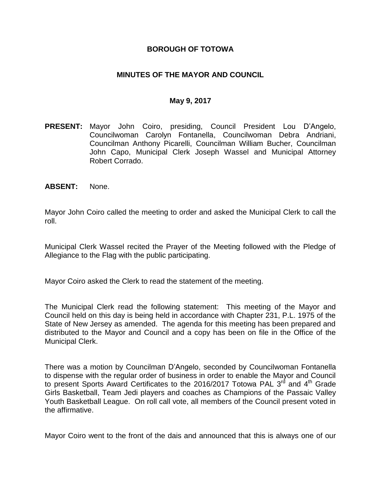### **BOROUGH OF TOTOWA**

### **MINUTES OF THE MAYOR AND COUNCIL**

#### **May 9, 2017**

- **PRESENT:** Mayor John Coiro, presiding, Council President Lou D'Angelo, Councilwoman Carolyn Fontanella, Councilwoman Debra Andriani, Councilman Anthony Picarelli, Councilman William Bucher, Councilman John Capo, Municipal Clerk Joseph Wassel and Municipal Attorney Robert Corrado.
- **ABSENT:** None.

Mayor John Coiro called the meeting to order and asked the Municipal Clerk to call the roll.

Municipal Clerk Wassel recited the Prayer of the Meeting followed with the Pledge of Allegiance to the Flag with the public participating.

Mayor Coiro asked the Clerk to read the statement of the meeting.

The Municipal Clerk read the following statement: This meeting of the Mayor and Council held on this day is being held in accordance with Chapter 231, P.L. 1975 of the State of New Jersey as amended. The agenda for this meeting has been prepared and distributed to the Mayor and Council and a copy has been on file in the Office of the Municipal Clerk.

There was a motion by Councilman D'Angelo, seconded by Councilwoman Fontanella to dispense with the regular order of business in order to enable the Mayor and Council to present Sports Award Certificates to the 2016/2017 Totowa PAL 3<sup>rd</sup> and 4<sup>th</sup> Grade Girls Basketball, Team Jedi players and coaches as Champions of the Passaic Valley Youth Basketball League. On roll call vote, all members of the Council present voted in the affirmative.

Mayor Coiro went to the front of the dais and announced that this is always one of our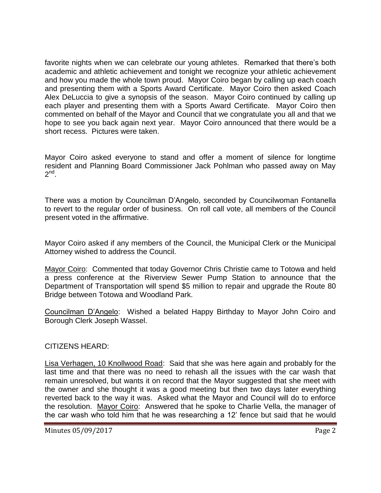favorite nights when we can celebrate our young athletes. Remarked that there's both academic and athletic achievement and tonight we recognize your athletic achievement and how you made the whole town proud. Mayor Coiro began by calling up each coach and presenting them with a Sports Award Certificate. Mayor Coiro then asked Coach Alex DeLuccia to give a synopsis of the season. Mayor Coiro continued by calling up each player and presenting them with a Sports Award Certificate. Mayor Coiro then commented on behalf of the Mayor and Council that we congratulate you all and that we hope to see you back again next year. Mayor Coiro announced that there would be a short recess. Pictures were taken.

Mayor Coiro asked everyone to stand and offer a moment of silence for longtime resident and Planning Board Commissioner Jack Pohlman who passed away on May  $2^{nd}$ .

There was a motion by Councilman D'Angelo, seconded by Councilwoman Fontanella to revert to the regular order of business. On roll call vote, all members of the Council present voted in the affirmative.

Mayor Coiro asked if any members of the Council, the Municipal Clerk or the Municipal Attorney wished to address the Council.

Mayor Coiro: Commented that today Governor Chris Christie came to Totowa and held a press conference at the Riverview Sewer Pump Station to announce that the Department of Transportation will spend \$5 million to repair and upgrade the Route 80 Bridge between Totowa and Woodland Park.

Councilman D'Angelo: Wished a belated Happy Birthday to Mayor John Coiro and Borough Clerk Joseph Wassel.

CITIZENS HEARD:

Lisa Verhagen, 10 Knollwood Road: Said that she was here again and probably for the last time and that there was no need to rehash all the issues with the car wash that remain unresolved, but wants it on record that the Mayor suggested that she meet with the owner and she thought it was a good meeting but then two days later everything reverted back to the way it was. Asked what the Mayor and Council will do to enforce the resolution. Mayor Coiro: Answered that he spoke to Charlie Vella, the manager of the car wash who told him that he was researching a 12' fence but said that he would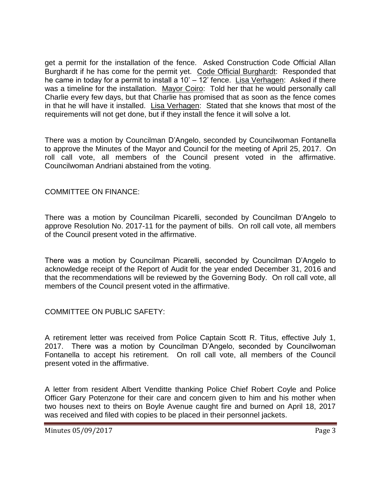get a permit for the installation of the fence. Asked Construction Code Official Allan Burghardt if he has come for the permit yet. Code Official Burghardt: Responded that he came in today for a permit to install a 10' – 12' fence. Lisa Verhagen: Asked if there was a timeline for the installation. Mayor Coiro: Told her that he would personally call Charlie every few days, but that Charlie has promised that as soon as the fence comes in that he will have it installed. Lisa Verhagen: Stated that she knows that most of the requirements will not get done, but if they install the fence it will solve a lot.

There was a motion by Councilman D'Angelo, seconded by Councilwoman Fontanella to approve the Minutes of the Mayor and Council for the meeting of April 25, 2017. On roll call vote, all members of the Council present voted in the affirmative. Councilwoman Andriani abstained from the voting.

COMMITTEE ON FINANCE:

There was a motion by Councilman Picarelli, seconded by Councilman D'Angelo to approve Resolution No. 2017-11 for the payment of bills. On roll call vote, all members of the Council present voted in the affirmative.

There was a motion by Councilman Picarelli, seconded by Councilman D'Angelo to acknowledge receipt of the Report of Audit for the year ended December 31, 2016 and that the recommendations will be reviewed by the Governing Body. On roll call vote, all members of the Council present voted in the affirmative.

COMMITTEE ON PUBLIC SAFETY:

A retirement letter was received from Police Captain Scott R. Titus, effective July 1, 2017. There was a motion by Councilman D'Angelo, seconded by Councilwoman Fontanella to accept his retirement. On roll call vote, all members of the Council present voted in the affirmative.

A letter from resident Albert Venditte thanking Police Chief Robert Coyle and Police Officer Gary Potenzone for their care and concern given to him and his mother when two houses next to theirs on Boyle Avenue caught fire and burned on April 18, 2017 was received and filed with copies to be placed in their personnel jackets.

Minutes 05/09/2017 Page 3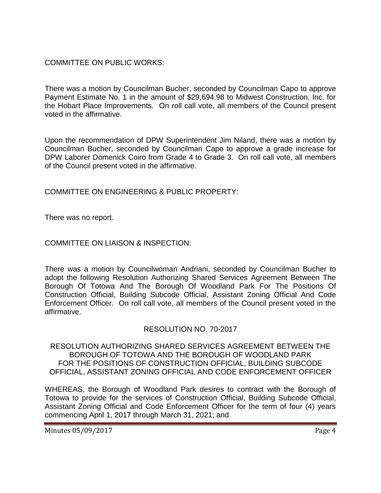# COMMITTEE ON PUBLIC WORKS:

There was a motion by Councilman Bucher, seconded by Councilman Capo to approve Payment Estimate No. 1 in the amount of \$29,694.98 to Midwest Construction, Inc. for the Hobart Place Improvements. On roll call vote, all members of the Council present voted in the affirmative.

Upon the recommendation of DPW Superintendent Jim Niland, there was a motion by Councilman Bucher, seconded by Councilman Capo to approve a grade increase for DPW Laborer Domenick Coiro from Grade 4 to Grade 3. On roll call vote, all members of the Council present voted in the affirmative.

COMMITTEE ON ENGINEERING & PUBLIC PROPERTY:

There was no report.

### COMMITTEE ON LIAISON & INSPECTION:

There was a motion by Councilwoman Andriani, seconded by Councilman Bucher to adopt the following Resolution Authorizing Shared Services Agreement Between The Borough Of Totowa And The Borough Of Woodland Park For The Positions Of Construction Official, Building Subcode Official, Assistant Zoning Official And Code Enforcement Officer. On roll call vote, all members of the Council present voted in the affirmative.

# RESOLUTION NO. 70-2017

RESOLUTION AUTHORIZING SHARED SERVICES AGREEMENT BETWEEN THE BOROUGH OF TOTOWA AND THE BOROUGH OF WOODLAND PARK FOR THE POSITIONS OF CONSTRUCTION OFFICIAL, BUILDING SUBCODE OFFICIAL, ASSISTANT ZONING OFFICIAL AND CODE ENFORCEMENT OFFICER

WHEREAS, the Borough of Woodland Park desires to contract with the Borough of Totowa to provide for the services of Construction Official, Building Subcode Official, Assistant Zoning Official and Code Enforcement Officer for the term of four (4) years commencing April 1, 2017 through March 31, 2021; and

Minutes 05/09/2017 Page 4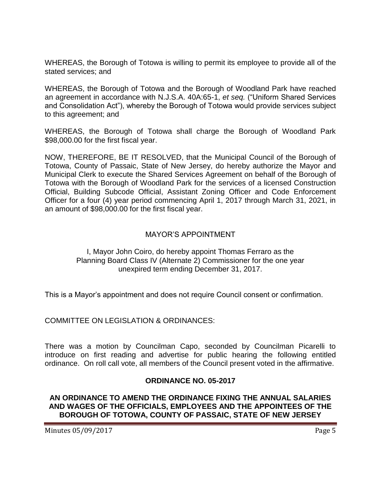WHEREAS, the Borough of Totowa is willing to permit its employee to provide all of the stated services; and

WHEREAS, the Borough of Totowa and the Borough of Woodland Park have reached an agreement in accordance with N.J.S.A. 40A:65-1, *et seq.* ("Uniform Shared Services and Consolidation Act"), whereby the Borough of Totowa would provide services subject to this agreement; and

WHEREAS, the Borough of Totowa shall charge the Borough of Woodland Park \$98,000.00 for the first fiscal year.

NOW, THEREFORE, BE IT RESOLVED, that the Municipal Council of the Borough of Totowa, County of Passaic, State of New Jersey, do hereby authorize the Mayor and Municipal Clerk to execute the Shared Services Agreement on behalf of the Borough of Totowa with the Borough of Woodland Park for the services of a licensed Construction Official, Building Subcode Official, Assistant Zoning Officer and Code Enforcement Officer for a four (4) year period commencing April 1, 2017 through March 31, 2021, in an amount of \$98,000.00 for the first fiscal year.

# MAYOR'S APPOINTMENT

### I, Mayor John Coiro, do hereby appoint Thomas Ferraro as the Planning Board Class IV (Alternate 2) Commissioner for the one year unexpired term ending December 31, 2017.

This is a Mayor's appointment and does not require Council consent or confirmation.

COMMITTEE ON LEGISLATION & ORDINANCES:

There was a motion by Councilman Capo, seconded by Councilman Picarelli to introduce on first reading and advertise for public hearing the following entitled ordinance. On roll call vote, all members of the Council present voted in the affirmative.

### **ORDINANCE NO. 05-2017**

### **AN ORDINANCE TO AMEND THE ORDINANCE FIXING THE ANNUAL SALARIES AND WAGES OF THE OFFICIALS, EMPLOYEES AND THE APPOINTEES OF THE BOROUGH OF TOTOWA, COUNTY OF PASSAIC, STATE OF NEW JERSEY**

Minutes 05/09/2017 **Page 5**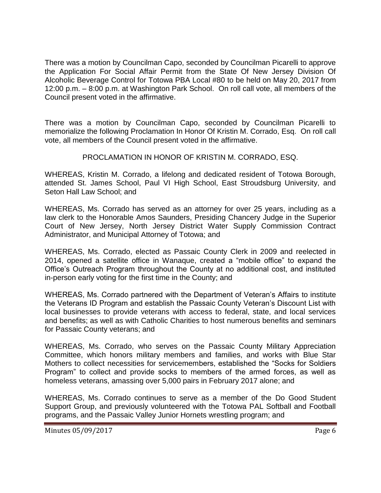There was a motion by Councilman Capo, seconded by Councilman Picarelli to approve the Application For Social Affair Permit from the State Of New Jersey Division Of Alcoholic Beverage Control for Totowa PBA Local #80 to be held on May 20, 2017 from 12:00 p.m. – 8:00 p.m. at Washington Park School. On roll call vote, all members of the Council present voted in the affirmative.

There was a motion by Councilman Capo, seconded by Councilman Picarelli to memorialize the following Proclamation In Honor Of Kristin M. Corrado, Esq. On roll call vote, all members of the Council present voted in the affirmative.

# PROCLAMATION IN HONOR OF KRISTIN M. CORRADO, ESQ.

WHEREAS, Kristin M. Corrado, a lifelong and dedicated resident of Totowa Borough, attended St. James School, Paul VI High School, East Stroudsburg University, and Seton Hall Law School; and

WHEREAS, Ms. Corrado has served as an attorney for over 25 years, including as a law clerk to the Honorable Amos Saunders, Presiding Chancery Judge in the Superior Court of New Jersey, North Jersey District Water Supply Commission Contract Administrator, and Municipal Attorney of Totowa; and

WHEREAS, Ms. Corrado, elected as Passaic County Clerk in 2009 and reelected in 2014, opened a satellite office in Wanaque, created a "mobile office" to expand the Office's Outreach Program throughout the County at no additional cost, and instituted in-person early voting for the first time in the County; and

WHEREAS, Ms. Corrado partnered with the Department of Veteran's Affairs to institute the Veterans ID Program and establish the Passaic County Veteran's Discount List with local businesses to provide veterans with access to federal, state, and local services and benefits; as well as with Catholic Charities to host numerous benefits and seminars for Passaic County veterans; and

WHEREAS, Ms. Corrado, who serves on the Passaic County Military Appreciation Committee, which honors military members and families, and works with Blue Star Mothers to collect necessities for servicemembers, established the "Socks for Soldiers Program" to collect and provide socks to members of the armed forces, as well as homeless veterans, amassing over 5,000 pairs in February 2017 alone; and

WHEREAS, Ms. Corrado continues to serve as a member of the Do Good Student Support Group, and previously volunteered with the Totowa PAL Softball and Football programs, and the Passaic Valley Junior Hornets wrestling program; and